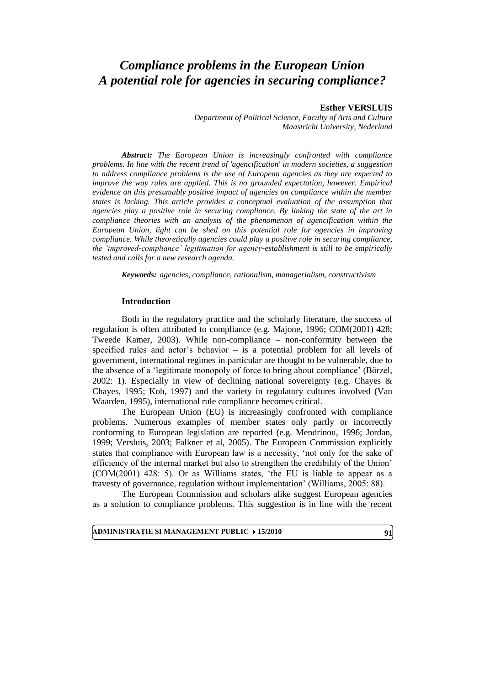# *Compliance problems in the European Union A potential role for agencies in securing compliance?*

## **Esther VERSLUIS**

*Department of Political Science, Faculty of Arts and Culture Maastricht University, Nederland*

*Abstract: The European Union is increasingly confronted with compliance problems. In line with the recent trend of 'agencification' in modern societies, a suggestion to address compliance problems is the use of European agencies as they are expected to improve the way rules are applied. This is no grounded expectation, however. Empirical evidence on this presumably positive impact of agencies on compliance within the member states is lacking. This article provides a conceptual evaluation of the assumption that agencies play a positive role in securing compliance. By linking the state of the art in compliance theories with an analysis of the phenomenon of agencification within the European Union, light can be shed on this potential role for agencies in improving compliance. While theoretically agencies could play a positive role in securing compliance, the 'improved-compliance' legitimation for agency-establishment is still to be empirically tested and calls for a new research agenda.*

*Keywords: agencies, compliance, rationalism, managerialism, constructivism*

#### **Introduction**

Both in the regulatory practice and the scholarly literature, the success of regulation is often attributed to compliance (e.g. Majone, 1996; COM(2001) 428; Tweede Kamer, 2003). While non-compliance – non-conformity between the specified rules and actor's behavior – is a potential problem for all levels of government, international regimes in particular are thought to be vulnerable, due to the absence of a 'legitimate monopoly of force to bring about compliance' (Börzel, 2002: 1). Especially in view of declining national sovereignty (e.g. Chayes & Chayes, 1995; Koh, 1997) and the variety in regulatory cultures involved (Van Waarden, 1995), international rule compliance becomes critical.

The European Union (EU) is increasingly confronted with compliance problems. Numerous examples of member states only partly or incorrectly conforming to European legislation are reported (e.g. Mendrinou, 1996; Jordan, 1999; Versluis, 2003; Falkner et al, 2005). The European Commission explicitly states that compliance with European law is a necessity, 'not only for the sake of efficiency of the internal market but also to strengthen the credibility of the Union' (COM(2001) 428: 5). Or as Williams states, 'the EU is liable to appear as a travesty of governance, regulation without implementation' (Williams, 2005: 88).

The European Commission and scholars alike suggest European agencies as a solution to compliance problems. This suggestion is in line with the recent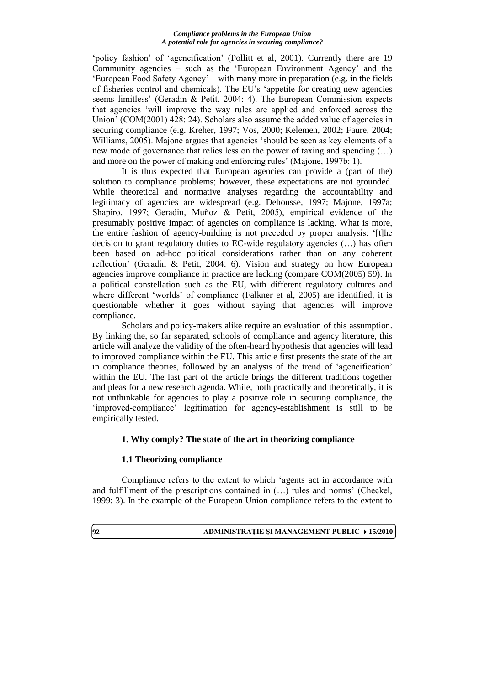'policy fashion' of 'agencification' (Pollitt et al, 2001). Currently there are 19 Community agencies – such as the 'European Environment Agency' and the 'European Food Safety Agency' – with many more in preparation (e.g. in the fields of fisheries control and chemicals). The EU's 'appetite for creating new agencies seems limitless' (Geradin & Petit, 2004: 4). The European Commission expects that agencies 'will improve the way rules are applied and enforced across the Union' (COM(2001) 428: 24). Scholars also assume the added value of agencies in securing compliance (e.g. Kreher, 1997; Vos, 2000; Kelemen, 2002; Faure, 2004; Williams, 2005). Majone argues that agencies 'should be seen as key elements of a new mode of governance that relies less on the power of taxing and spending (…) and more on the power of making and enforcing rules' (Majone, 1997b: 1).

It is thus expected that European agencies can provide a (part of the) solution to compliance problems; however, these expectations are not grounded. While theoretical and normative analyses regarding the accountability and legitimacy of agencies are widespread (e.g. Dehousse, 1997; Majone, 1997a; Shapiro, 1997; Geradin, Muñoz & Petit, 2005), empirical evidence of the presumably positive impact of agencies on compliance is lacking. What is more, the entire fashion of agency-building is not preceded by proper analysis: '[t]he decision to grant regulatory duties to EC-wide regulatory agencies (…) has often been based on ad-hoc political considerations rather than on any coherent reflection' (Geradin & Petit, 2004: 6). Vision and strategy on how European agencies improve compliance in practice are lacking (compare COM(2005) 59). In a political constellation such as the EU, with different regulatory cultures and where different 'worlds' of compliance (Falkner et al, 2005) are identified, it is questionable whether it goes without saying that agencies will improve compliance.

Scholars and policy-makers alike require an evaluation of this assumption. By linking the, so far separated, schools of compliance and agency literature, this article will analyze the validity of the often-heard hypothesis that agencies will lead to improved compliance within the EU. This article first presents the state of the art in compliance theories, followed by an analysis of the trend of 'agencification' within the EU. The last part of the article brings the different traditions together and pleas for a new research agenda. While, both practically and theoretically, it is not unthinkable for agencies to play a positive role in securing compliance, the 'improved-compliance' legitimation for agency-establishment is still to be empirically tested.

# **1. Why comply? The state of the art in theorizing compliance**

# **1.1 Theorizing compliance**

Compliance refers to the extent to which 'agents act in accordance with and fulfillment of the prescriptions contained in (…) rules and norms' (Checkel, 1999: 3). In the example of the European Union compliance refers to the extent to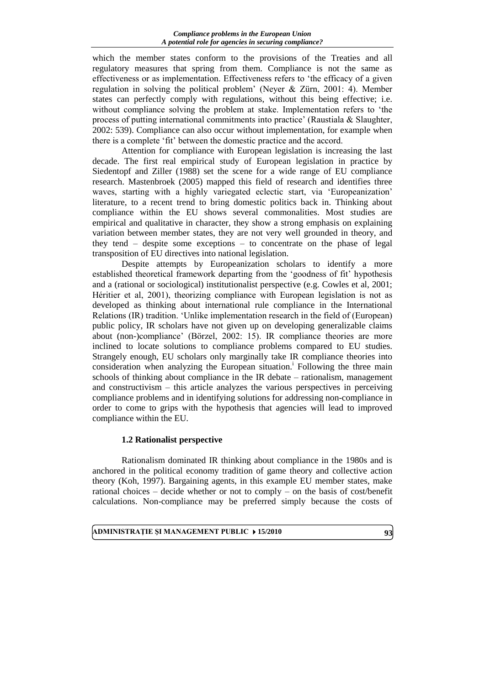which the member states conform to the provisions of the Treaties and all regulatory measures that spring from them. Compliance is not the same as effectiveness or as implementation. Effectiveness refers to 'the efficacy of a given regulation in solving the political problem' (Neyer & Zürn, 2001: 4). Member states can perfectly comply with regulations, without this being effective; i.e. without compliance solving the problem at stake. Implementation refers to 'the process of putting international commitments into practice' (Raustiala & Slaughter, 2002: 539). Compliance can also occur without implementation, for example when there is a complete 'fit' between the domestic practice and the accord.

Attention for compliance with European legislation is increasing the last decade. The first real empirical study of European legislation in practice by Siedentopf and Ziller (1988) set the scene for a wide range of EU compliance research. Mastenbroek (2005) mapped this field of research and identifies three waves, starting with a highly variegated eclectic start, via 'Europeanization' literature, to a recent trend to bring domestic politics back in. Thinking about compliance within the EU shows several commonalities. Most studies are empirical and qualitative in character, they show a strong emphasis on explaining variation between member states, they are not very well grounded in theory, and they tend – despite some exceptions – to concentrate on the phase of legal transposition of EU directives into national legislation.

Despite attempts by Europeanization scholars to identify a more established theoretical framework departing from the 'goodness of fit' hypothesis and a (rational or sociological) institutionalist perspective (e.g. Cowles et al, 2001; Héritier et al, 2001), theorizing compliance with European legislation is not as developed as thinking about international rule compliance in the International Relations (IR) tradition. 'Unlike implementation research in the field of (European) public policy, IR scholars have not given up on developing generalizable claims about (non-)compliance' (Börzel, 2002: 15). IR compliance theories are more inclined to locate solutions to compliance problems compared to EU studies. Strangely enough, EU scholars only marginally take IR compliance theories into consideration when analyzing the European situation.<sup>i</sup> Following the three main schools of thinking about compliance in the IR debate – rationalism, management and constructivism – this article analyzes the various perspectives in perceiving compliance problems and in identifying solutions for addressing non-compliance in order to come to grips with the hypothesis that agencies will lead to improved compliance within the EU.

# **1.2 Rationalist perspective**

Rationalism dominated IR thinking about compliance in the 1980s and is anchored in the political economy tradition of game theory and collective action theory (Koh, 1997). Bargaining agents, in this example EU member states, make rational choices – decide whether or not to comply – on the basis of cost/benefit calculations. Non-compliance may be preferred simply because the costs of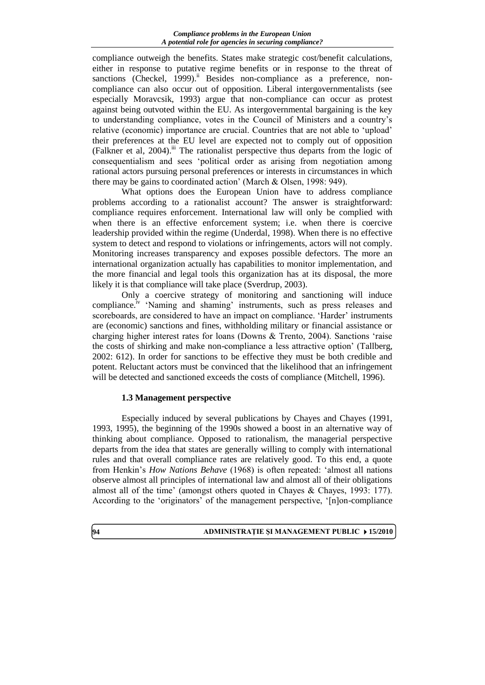compliance outweigh the benefits. States make strategic cost/benefit calculations, either in response to putative regime benefits or in response to the threat of sanctions (Checkel, 1999).<sup>ii</sup> Besides non-compliance as a preference, noncompliance can also occur out of opposition. Liberal intergovernmentalists (see especially Moravcsik, 1993) argue that non-compliance can occur as protest against being outvoted within the EU. As intergovernmental bargaining is the key to understanding compliance, votes in the Council of Ministers and a country's relative (economic) importance are crucial. Countries that are not able to 'upload' their preferences at the EU level are expected not to comply out of opposition (Falkner et al, 2004).iii The rationalist perspective thus departs from the logic of consequentialism and sees 'political order as arising from negotiation among rational actors pursuing personal preferences or interests in circumstances in which there may be gains to coordinated action' (March & Olsen, 1998: 949).

What options does the European Union have to address compliance problems according to a rationalist account? The answer is straightforward: compliance requires enforcement. International law will only be complied with when there is an effective enforcement system; i.e. when there is coercive leadership provided within the regime (Underdal, 1998). When there is no effective system to detect and respond to violations or infringements, actors will not comply. Monitoring increases transparency and exposes possible defectors. The more an international organization actually has capabilities to monitor implementation, and the more financial and legal tools this organization has at its disposal, the more likely it is that compliance will take place (Sverdrup, 2003).

Only a coercive strategy of monitoring and sanctioning will induce compliance.<sup>iv</sup> 'Naming and shaming' instruments, such as press releases and scoreboards, are considered to have an impact on compliance. 'Harder' instruments are (economic) sanctions and fines, withholding military or financial assistance or charging higher interest rates for loans (Downs & Trento, 2004). Sanctions 'raise the costs of shirking and make non-compliance a less attractive option' (Tallberg, 2002: 612). In order for sanctions to be effective they must be both credible and potent. Reluctant actors must be convinced that the likelihood that an infringement will be detected and sanctioned exceeds the costs of compliance (Mitchell, 1996).

# **1.3 Management perspective**

Especially induced by several publications by Chayes and Chayes (1991, 1993, 1995), the beginning of the 1990s showed a boost in an alternative way of thinking about compliance. Opposed to rationalism, the managerial perspective departs from the idea that states are generally willing to comply with international rules and that overall compliance rates are relatively good. To this end, a quote from Henkin's *How Nations Behave* (1968) is often repeated: 'almost all nations observe almost all principles of international law and almost all of their obligations almost all of the time' (amongst others quoted in Chayes & Chayes, 1993: 177). According to the 'originators' of the management perspective, '[n]on-compliance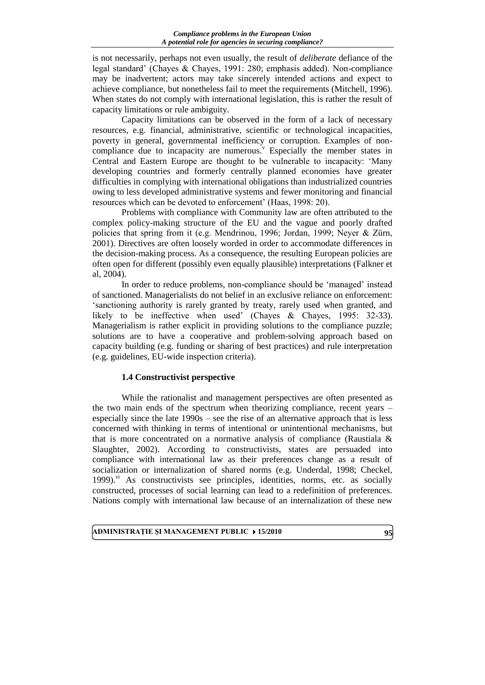is not necessarily, perhaps not even usually, the result of *deliberate* defiance of the legal standard' (Chayes & Chayes, 1991: 280; emphasis added). Non-compliance may be inadvertent; actors may take sincerely intended actions and expect to achieve compliance, but nonetheless fail to meet the requirements (Mitchell, 1996). When states do not comply with international legislation, this is rather the result of capacity limitations or rule ambiguity.

Capacity limitations can be observed in the form of a lack of necessary resources, e.g. financial, administrative, scientific or technological incapacities, poverty in general, governmental inefficiency or corruption. Examples of noncompliance due to incapacity are numerous. Especially the member states in Central and Eastern Europe are thought to be vulnerable to incapacity: 'Many developing countries and formerly centrally planned economies have greater difficulties in complying with international obligations than industrialized countries owing to less developed administrative systems and fewer monitoring and financial resources which can be devoted to enforcement' (Haas, 1998: 20).

Problems with compliance with Community law are often attributed to the complex policy-making structure of the EU and the vague and poorly drafted policies that spring from it (e.g. Mendrinou, 1996; Jordan, 1999; Neyer & Zürn, 2001). Directives are often loosely worded in order to accommodate differences in the decision-making process. As a consequence, the resulting European policies are often open for different (possibly even equally plausible) interpretations (Falkner et al, 2004).

In order to reduce problems, non-compliance should be 'managed' instead of sanctioned. Managerialists do not belief in an exclusive reliance on enforcement: 'sanctioning authority is rarely granted by treaty, rarely used when granted, and likely to be ineffective when used' (Chayes & Chayes, 1995: 32-33). Managerialism is rather explicit in providing solutions to the compliance puzzle; solutions are to have a cooperative and problem-solving approach based on capacity building (e.g. funding or sharing of best practices) and rule interpretation (e.g. guidelines, EU-wide inspection criteria).

## **1.4 Constructivist perspective**

While the rationalist and management perspectives are often presented as the two main ends of the spectrum when theorizing compliance, recent years – especially since the late 1990s – see the rise of an alternative approach that is less concerned with thinking in terms of intentional or unintentional mechanisms, but that is more concentrated on a normative analysis of compliance (Raustiala  $\&$ Slaughter, 2002). According to constructivists, states are persuaded into compliance with international law as their preferences change as a result of socialization or internalization of shared norms (e.g. Underdal, 1998; Checkel, 1999).<sup>vi</sup> As constructivists see principles, identities, norms, etc. as socially constructed, processes of social learning can lead to a redefinition of preferences. Nations comply with international law because of an internalization of these new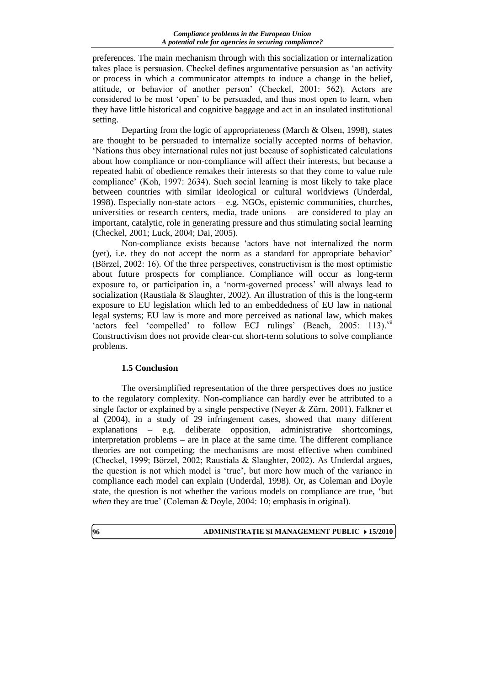preferences. The main mechanism through with this socialization or internalization takes place is persuasion. Checkel defines argumentative persuasion as 'an activity or process in which a communicator attempts to induce a change in the belief, attitude, or behavior of another person' (Checkel, 2001: 562). Actors are considered to be most 'open' to be persuaded, and thus most open to learn, when they have little historical and cognitive baggage and act in an insulated institutional setting.

Departing from the logic of appropriateness (March & Olsen, 1998), states are thought to be persuaded to internalize socially accepted norms of behavior. 'Nations thus obey international rules not just because of sophisticated calculations about how compliance or non-compliance will affect their interests, but because a repeated habit of obedience remakes their interests so that they come to value rule compliance' (Koh, 1997: 2634). Such social learning is most likely to take place between countries with similar ideological or cultural worldviews (Underdal, 1998). Especially non-state actors – e.g. NGOs, epistemic communities, churches, universities or research centers, media, trade unions – are considered to play an important, catalytic, role in generating pressure and thus stimulating social learning (Checkel, 2001; Luck, 2004; Dai, 2005).

Non-compliance exists because 'actors have not internalized the norm (yet), i.e. they do not accept the norm as a standard for appropriate behavior' (Börzel, 2002: 16). Of the three perspectives, constructivism is the most optimistic about future prospects for compliance. Compliance will occur as long-term exposure to, or participation in, a 'norm-governed process' will always lead to socialization (Raustiala & Slaughter, 2002). An illustration of this is the long-term exposure to EU legislation which led to an embeddedness of EU law in national legal systems; EU law is more and more perceived as national law, which makes 'actors feel 'compelled' to follow ECJ rulings' (Beach, 2005: 113).<sup>vii</sup> Constructivism does not provide clear-cut short-term solutions to solve compliance problems.

# **1.5 Conclusion**

The oversimplified representation of the three perspectives does no justice to the regulatory complexity. Non-compliance can hardly ever be attributed to a single factor or explained by a single perspective (Neyer & Zürn, 2001). Falkner et al (2004), in a study of 29 infringement cases, showed that many different explanations – e.g. deliberate opposition, administrative shortcomings, interpretation problems – are in place at the same time. The different compliance theories are not competing; the mechanisms are most effective when combined (Checkel, 1999; Börzel, 2002; Raustiala & Slaughter, 2002). As Underdal argues, the question is not which model is 'true', but more how much of the variance in compliance each model can explain (Underdal, 1998). Or, as Coleman and Doyle state, the question is not whether the various models on compliance are true, 'but *when* they are true' (Coleman & Doyle, 2004: 10; emphasis in original).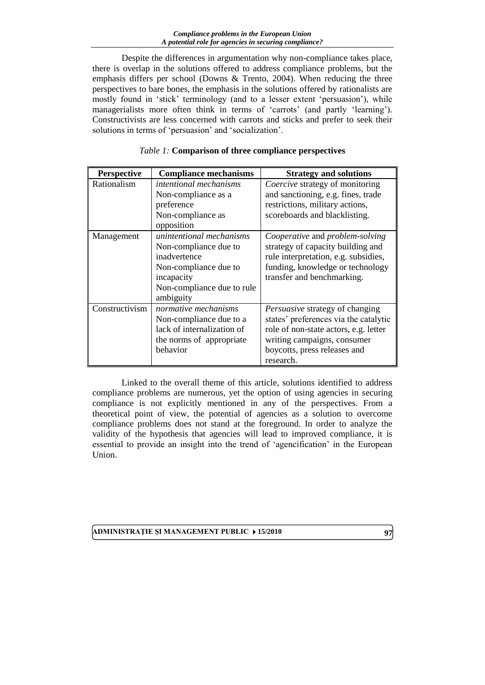Despite the differences in argumentation why non-compliance takes place, there is overlap in the solutions offered to address compliance problems, but the emphasis differs per school (Downs & Trento, 2004). When reducing the three perspectives to bare bones, the emphasis in the solutions offered by rationalists are mostly found in 'stick' terminology (and to a lesser extent 'persuasion'), while managerialists more often think in terms of 'carrots' (and partly 'learning'). Constructivists are less concerned with carrots and sticks and prefer to seek their solutions in terms of 'persuasion' and 'socialization'.

| <b>Perspective</b> | <b>Compliance mechanisms</b>  | <b>Strategy and solutions</b>         |
|--------------------|-------------------------------|---------------------------------------|
| Rationalism        | <i>intentional mechanisms</i> | Coercive strategy of monitoring       |
|                    | Non-compliance as a           | and sanctioning, e.g. fines, trade    |
|                    | preference                    | restrictions, military actions,       |
|                    | Non-compliance as             | scoreboards and blacklisting.         |
|                    | opposition                    |                                       |
| Management         | unintentional mechanisms      | Cooperative and problem-solving       |
|                    | Non-compliance due to         | strategy of capacity building and     |
|                    | inadvertence                  | rule interpretation, e.g. subsidies,  |
|                    | Non-compliance due to         | funding, knowledge or technology      |
|                    | incapacity                    | transfer and benchmarking.            |
|                    | Non-compliance due to rule    |                                       |
|                    | ambiguity                     |                                       |
| Constructivism     | normative mechanisms          | Persuasive strategy of changing       |
|                    | Non-compliance due to a       | states' preferences via the catalytic |
|                    | lack of internalization of    | role of non-state actors, e.g. letter |
|                    | the norms of appropriate      | writing campaigns, consumer           |
|                    | behavior                      | boycotts, press releases and          |
|                    |                               | research.                             |

# *Table 1:* **Comparison of three compliance perspectives**

Linked to the overall theme of this article, solutions identified to address compliance problems are numerous, yet the option of using agencies in securing compliance is not explicitly mentioned in any of the perspectives. From a theoretical point of view, the potential of agencies as a solution to overcome compliance problems does not stand at the foreground. In order to analyze the validity of the hypothesis that agencies will lead to improved compliance, it is essential to provide an insight into the trend of 'agencification' in the European Union.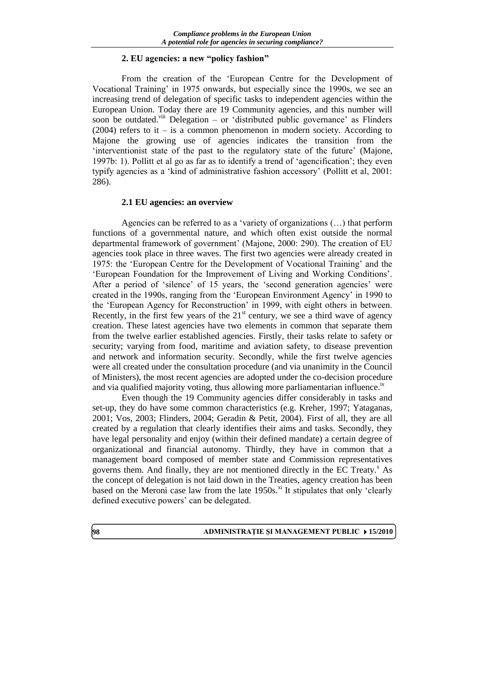## **2. EU agencies: a new "policy fashion"**

From the creation of the 'European Centre for the Development of Vocational Training' in 1975 onwards, but especially since the 1990s, we see an increasing trend of delegation of specific tasks to independent agencies within the European Union. Today there are 19 Community agencies, and this number will soon be outdated.<sup>viii</sup> Delegation – or 'distributed public governance' as Flinders  $(2004)$  refers to it – is a common phenomenon in modern society. According to Majone the growing use of agencies indicates the transition from the 'interventionist state of the past to the regulatory state of the future' (Majone, 1997b: 1). Pollitt et al go as far as to identify a trend of 'agencification'; they even typify agencies as a 'kind of administrative fashion accessory' (Pollitt et al, 2001: 286).

## **2.1 EU agencies: an overview**

Agencies can be referred to as a 'variety of organizations (…) that perform functions of a governmental nature, and which often exist outside the normal departmental framework of government' (Majone, 2000: 290). The creation of EU agencies took place in three waves. The first two agencies were already created in 1975: the 'European Centre for the Development of Vocational Training' and the 'European Foundation for the Improvement of Living and Working Conditions'. After a period of 'silence' of 15 years, the 'second generation agencies' were created in the 1990s, ranging from the 'European Environment Agency' in 1990 to the 'European Agency for Reconstruction' in 1999, with eight others in between. Recently, in the first few years of the  $21<sup>st</sup>$  century, we see a third wave of agency creation. These latest agencies have two elements in common that separate them from the twelve earlier established agencies. Firstly, their tasks relate to safety or security; varying from food, maritime and aviation safety, to disease prevention and network and information security. Secondly, while the first twelve agencies were all created under the consultation procedure (and via unanimity in the Council of Ministers), the most recent agencies are adopted under the co-decision procedure and via qualified majority voting, thus allowing more parliamentarian influence.<sup>1x</sup>

Even though the 19 Community agencies differ considerably in tasks and set-up, they do have some common characteristics (e.g. Kreher, 1997; Yataganas, 2001; Vos, 2003; Flinders, 2004; Geradin & Petit, 2004). First of all, they are all created by a regulation that clearly identifies their aims and tasks. Secondly, they have legal personality and enjoy (within their defined mandate) a certain degree of organizational and financial autonomy. Thirdly, they have in common that a management board composed of member state and Commission representatives governs them. And finally, they are not mentioned directly in the EC Treaty. $^x$  As the concept of delegation is not laid down in the Treaties, agency creation has been based on the Meroni case law from the late  $1950s$ .<sup>xi</sup> It stipulates that only 'clearly defined executive powers' can be delegated.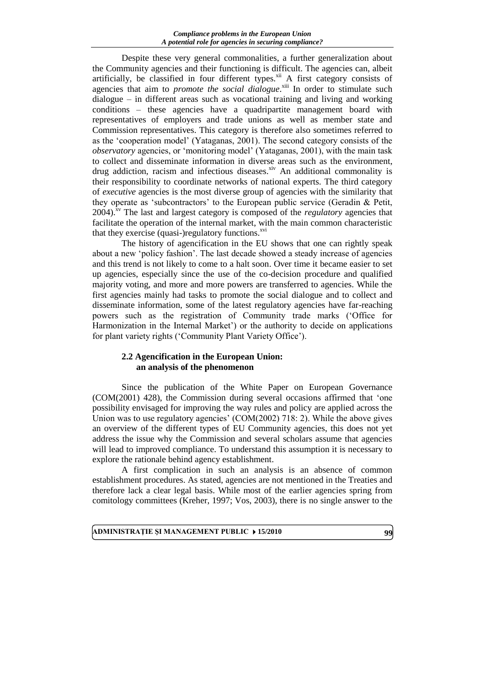Despite these very general commonalities, a further generalization about the Community agencies and their functioning is difficult. The agencies can, albeit artificially, be classified in four different types.<sup>xii</sup> A first category consists of agencies that aim to *promote the social dialogue*.<sup>xiii</sup> In order to stimulate such dialogue – in different areas such as vocational training and living and working conditions – these agencies have a quadripartite management board with representatives of employers and trade unions as well as member state and Commission representatives. This category is therefore also sometimes referred to as the 'cooperation model' (Yataganas, 2001). The second category consists of the *observatory* agencies, or 'monitoring model' (Yataganas, 2001), with the main task to collect and disseminate information in diverse areas such as the environment, drug addiction, racism and infectious diseases. $x^i$  An additional commonality is their responsibility to coordinate networks of national experts. The third category of *executive* agencies is the most diverse group of agencies with the similarity that they operate as 'subcontractors' to the European public service (Geradin & Petit, 2004).xv The last and largest category is composed of the *regulatory* agencies that facilitate the operation of the internal market, with the main common characteristic that they exercise (quasi-)regulatory functions. $x<sub>vi</sub>$ 

The history of agencification in the EU shows that one can rightly speak about a new 'policy fashion'. The last decade showed a steady increase of agencies and this trend is not likely to come to a halt soon. Over time it became easier to set up agencies, especially since the use of the co-decision procedure and qualified majority voting, and more and more powers are transferred to agencies. While the first agencies mainly had tasks to promote the social dialogue and to collect and disseminate information, some of the latest regulatory agencies have far-reaching powers such as the registration of Community trade marks ('Office for Harmonization in the Internal Market') or the authority to decide on applications for plant variety rights ('Community Plant Variety Office').

## **2.2 Agencification in the European Union: an analysis of the phenomenon**

Since the publication of the White Paper on European Governance (COM(2001) 428), the Commission during several occasions affirmed that 'one possibility envisaged for improving the way rules and policy are applied across the Union was to use regulatory agencies' (COM(2002) 718: 2). While the above gives an overview of the different types of EU Community agencies, this does not yet address the issue why the Commission and several scholars assume that agencies will lead to improved compliance. To understand this assumption it is necessary to explore the rationale behind agency establishment.

A first complication in such an analysis is an absence of common establishment procedures. As stated, agencies are not mentioned in the Treaties and therefore lack a clear legal basis. While most of the earlier agencies spring from comitology committees (Kreher, 1997; Vos, 2003), there is no single answer to the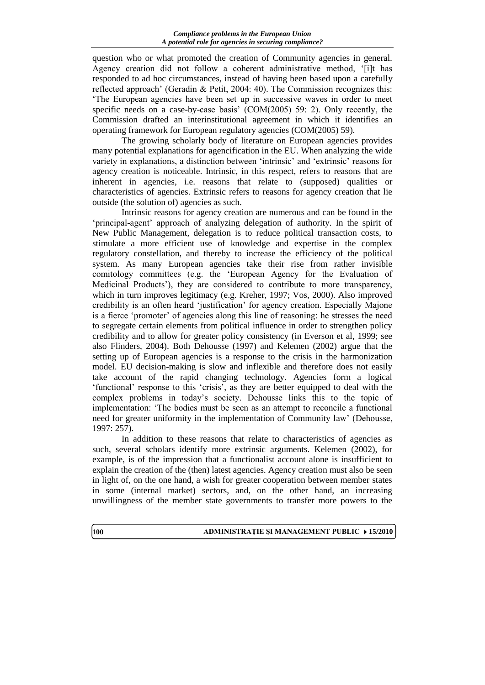question who or what promoted the creation of Community agencies in general. Agency creation did not follow a coherent administrative method, '[i]t has responded to ad hoc circumstances, instead of having been based upon a carefully reflected approach' (Geradin & Petit, 2004: 40). The Commission recognizes this: 'The European agencies have been set up in successive waves in order to meet specific needs on a case-by-case basis' (COM(2005) 59: 2). Only recently, the Commission drafted an interinstitutional agreement in which it identifies an operating framework for European regulatory agencies (COM(2005) 59).

The growing scholarly body of literature on European agencies provides many potential explanations for agencification in the EU. When analyzing the wide variety in explanations, a distinction between 'intrinsic' and 'extrinsic' reasons for agency creation is noticeable. Intrinsic, in this respect, refers to reasons that are inherent in agencies, i.e. reasons that relate to (supposed) qualities or characteristics of agencies. Extrinsic refers to reasons for agency creation that lie outside (the solution of) agencies as such.

Intrinsic reasons for agency creation are numerous and can be found in the 'principal-agent' approach of analyzing delegation of authority. In the spirit of New Public Management, delegation is to reduce political transaction costs, to stimulate a more efficient use of knowledge and expertise in the complex regulatory constellation, and thereby to increase the efficiency of the political system. As many European agencies take their rise from rather invisible comitology committees (e.g. the 'European Agency for the Evaluation of Medicinal Products'), they are considered to contribute to more transparency, which in turn improves legitimacy (e.g. Kreher, 1997; Vos, 2000). Also improved credibility is an often heard 'justification' for agency creation. Especially Majone is a fierce 'promoter' of agencies along this line of reasoning: he stresses the need to segregate certain elements from political influence in order to strengthen policy credibility and to allow for greater policy consistency (in Everson et al, 1999; see also Flinders, 2004). Both Dehousse (1997) and Kelemen (2002) argue that the setting up of European agencies is a response to the crisis in the harmonization model. EU decision-making is slow and inflexible and therefore does not easily take account of the rapid changing technology. Agencies form a logical 'functional' response to this 'crisis', as they are better equipped to deal with the complex problems in today's society. Dehousse links this to the topic of implementation: 'The bodies must be seen as an attempt to reconcile a functional need for greater uniformity in the implementation of Community law' (Dehousse, 1997: 257).

In addition to these reasons that relate to characteristics of agencies as such, several scholars identify more extrinsic arguments. Kelemen (2002), for example, is of the impression that a functionalist account alone is insufficient to explain the creation of the (then) latest agencies. Agency creation must also be seen in light of, on the one hand, a wish for greater cooperation between member states in some (internal market) sectors, and, on the other hand, an increasing unwillingness of the member state governments to transfer more powers to the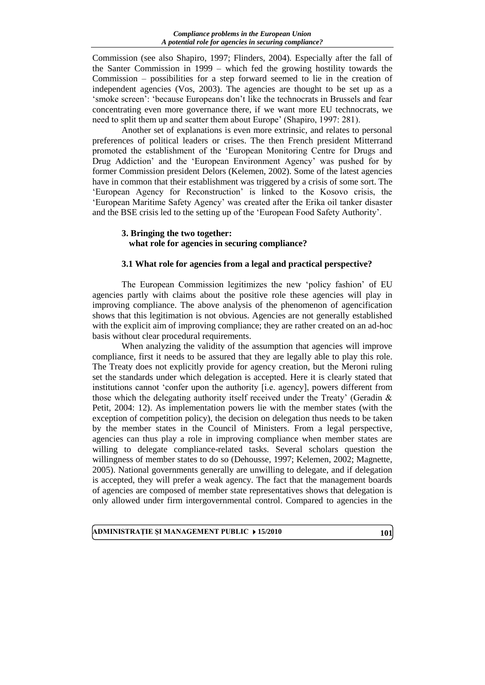Commission (see also Shapiro, 1997; Flinders, 2004). Especially after the fall of the Santer Commission in 1999 – which fed the growing hostility towards the Commission – possibilities for a step forward seemed to lie in the creation of independent agencies (Vos, 2003). The agencies are thought to be set up as a 'smoke screen': 'because Europeans don't like the technocrats in Brussels and fear concentrating even more governance there, if we want more EU technocrats, we need to split them up and scatter them about Europe' (Shapiro, 1997: 281).

Another set of explanations is even more extrinsic, and relates to personal preferences of political leaders or crises. The then French president Mitterrand promoted the establishment of the 'European Monitoring Centre for Drugs and Drug Addiction' and the 'European Environment Agency' was pushed for by former Commission president Delors (Kelemen, 2002). Some of the latest agencies have in common that their establishment was triggered by a crisis of some sort. The 'European Agency for Reconstruction' is linked to the Kosovo crisis, the 'European Maritime Safety Agency' was created after the Erika oil tanker disaster and the BSE crisis led to the setting up of the 'European Food Safety Authority'.

# **3. Bringing the two together: what role for agencies in securing compliance?**

## **3.1 What role for agencies from a legal and practical perspective?**

The European Commission legitimizes the new 'policy fashion' of EU agencies partly with claims about the positive role these agencies will play in improving compliance. The above analysis of the phenomenon of agencification shows that this legitimation is not obvious. Agencies are not generally established with the explicit aim of improving compliance; they are rather created on an ad-hoc basis without clear procedural requirements.

When analyzing the validity of the assumption that agencies will improve compliance, first it needs to be assured that they are legally able to play this role. The Treaty does not explicitly provide for agency creation, but the Meroni ruling set the standards under which delegation is accepted. Here it is clearly stated that institutions cannot 'confer upon the authority [i.e. agency], powers different from those which the delegating authority itself received under the Treaty' (Geradin  $\&$ Petit, 2004: 12). As implementation powers lie with the member states (with the exception of competition policy), the decision on delegation thus needs to be taken by the member states in the Council of Ministers. From a legal perspective, agencies can thus play a role in improving compliance when member states are willing to delegate compliance-related tasks. Several scholars question the willingness of member states to do so (Dehousse, 1997; Kelemen, 2002; Magnette, 2005). National governments generally are unwilling to delegate, and if delegation is accepted, they will prefer a weak agency. The fact that the management boards of agencies are composed of member state representatives shows that delegation is only allowed under firm intergovernmental control. Compared to agencies in the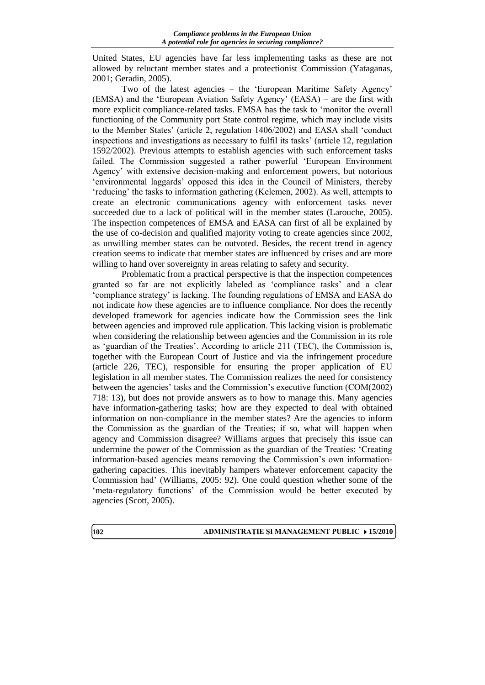United States, EU agencies have far less implementing tasks as these are not allowed by reluctant member states and a protectionist Commission (Yataganas, 2001; Geradin, 2005).

Two of the latest agencies – the 'European Maritime Safety Agency' (EMSA) and the 'European Aviation Safety Agency' (EASA) – are the first with more explicit compliance-related tasks. EMSA has the task to 'monitor the overall functioning of the Community port State control regime, which may include visits to the Member States' (article 2, regulation 1406/2002) and EASA shall 'conduct inspections and investigations as necessary to fulfil its tasks' (article 12, regulation 1592/2002). Previous attempts to establish agencies with such enforcement tasks failed. The Commission suggested a rather powerful 'European Environment Agency' with extensive decision-making and enforcement powers, but notorious 'environmental laggards' opposed this idea in the Council of Ministers, thereby 'reducing' the tasks to information gathering (Kelemen, 2002). As well, attempts to create an electronic communications agency with enforcement tasks never succeeded due to a lack of political will in the member states (Larouche, 2005). The inspection competences of EMSA and EASA can first of all be explained by the use of co-decision and qualified majority voting to create agencies since 2002, as unwilling member states can be outvoted. Besides, the recent trend in agency creation seems to indicate that member states are influenced by crises and are more willing to hand over sovereignty in areas relating to safety and security.

Problematic from a practical perspective is that the inspection competences granted so far are not explicitly labeled as 'compliance tasks' and a clear 'compliance strategy' is lacking. The founding regulations of EMSA and EASA do not indicate *how* these agencies are to influence compliance. Nor does the recently developed framework for agencies indicate how the Commission sees the link between agencies and improved rule application. This lacking vision is problematic when considering the relationship between agencies and the Commission in its role as 'guardian of the Treaties'. According to article 211 (TEC), the Commission is, together with the European Court of Justice and via the infringement procedure (article 226, TEC), responsible for ensuring the proper application of EU legislation in all member states. The Commission realizes the need for consistency between the agencies' tasks and the Commission's executive function (COM(2002) 718: 13), but does not provide answers as to how to manage this. Many agencies have information-gathering tasks; how are they expected to deal with obtained information on non-compliance in the member states? Are the agencies to inform the Commission as the guardian of the Treaties; if so, what will happen when agency and Commission disagree? Williams argues that precisely this issue can undermine the power of the Commission as the guardian of the Treaties: 'Creating information-based agencies means removing the Commission's own informationgathering capacities. This inevitably hampers whatever enforcement capacity the Commission had' (Williams, 2005: 92). One could question whether some of the 'meta-regulatory functions' of the Commission would be better executed by agencies (Scott, 2005).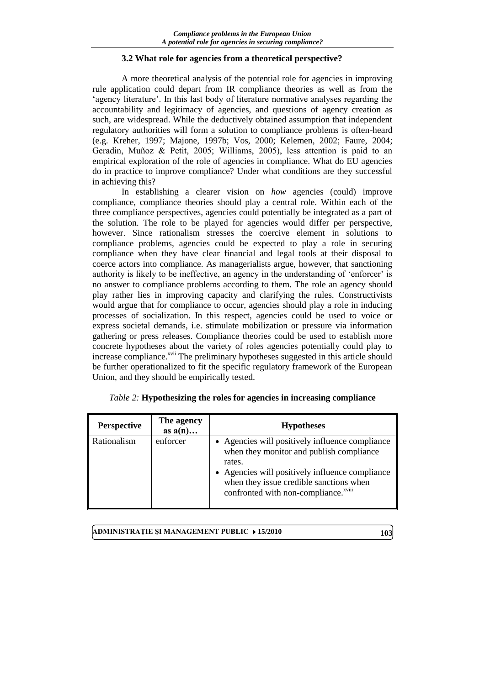## **3.2 What role for agencies from a theoretical perspective?**

A more theoretical analysis of the potential role for agencies in improving rule application could depart from IR compliance theories as well as from the 'agency literature'. In this last body of literature normative analyses regarding the accountability and legitimacy of agencies, and questions of agency creation as such, are widespread. While the deductively obtained assumption that independent regulatory authorities will form a solution to compliance problems is often-heard (e.g. Kreher, 1997; Majone, 1997b; Vos, 2000; Kelemen, 2002; Faure, 2004; Geradin, Muñoz & Petit, 2005; Williams, 2005), less attention is paid to an empirical exploration of the role of agencies in compliance. What do EU agencies do in practice to improve compliance? Under what conditions are they successful in achieving this?

In establishing a clearer vision on *how* agencies (could) improve compliance, compliance theories should play a central role. Within each of the three compliance perspectives, agencies could potentially be integrated as a part of the solution. The role to be played for agencies would differ per perspective, however. Since rationalism stresses the coercive element in solutions to compliance problems, agencies could be expected to play a role in securing compliance when they have clear financial and legal tools at their disposal to coerce actors into compliance. As managerialists argue, however, that sanctioning authority is likely to be ineffective, an agency in the understanding of 'enforcer' is no answer to compliance problems according to them. The role an agency should play rather lies in improving capacity and clarifying the rules. Constructivists would argue that for compliance to occur, agencies should play a role in inducing processes of socialization. In this respect, agencies could be used to voice or express societal demands, i.e. stimulate mobilization or pressure via information gathering or press releases. Compliance theories could be used to establish more concrete hypotheses about the variety of roles agencies potentially could play to increase compliance.<sup>xvii</sup> The preliminary hypotheses suggested in this article should be further operationalized to fit the specific regulatory framework of the European Union, and they should be empirically tested.

| <b>Perspective</b> | The agency<br>as $a(n)$ | <b>Hypotheses</b>                                                                                                                                                                                                                                       |
|--------------------|-------------------------|---------------------------------------------------------------------------------------------------------------------------------------------------------------------------------------------------------------------------------------------------------|
| Rationalism        | enforcer                | • Agencies will positively influence compliance<br>when they monitor and publish compliance<br>rates.<br>• Agencies will positively influence compliance<br>when they issue credible sanctions when<br>confronted with non-compliance. <sup>xviii</sup> |

|  |  |  | <i>Table 2:</i> Hypothesizing the roles for agencies in increasing compliance |
|--|--|--|-------------------------------------------------------------------------------|
|  |  |  |                                                                               |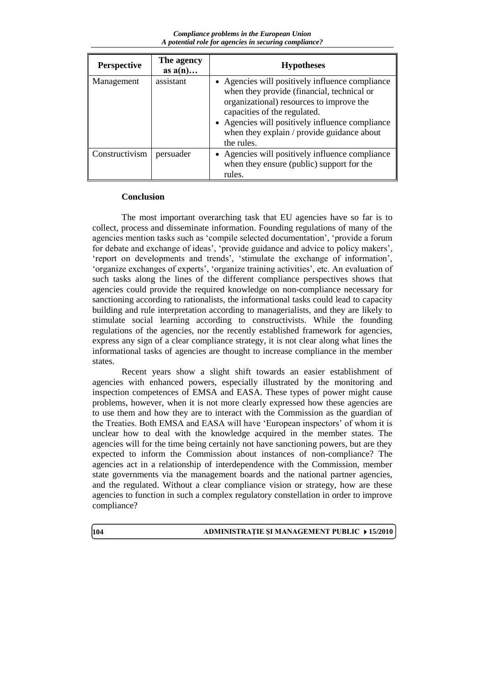*Compliance problems in the European Union A potential role for agencies in securing compliance?*

| <b>Perspective</b> | The agency<br>as $a(n)$ | <b>Hypotheses</b>                                                                                                                                                                                                                                                                        |
|--------------------|-------------------------|------------------------------------------------------------------------------------------------------------------------------------------------------------------------------------------------------------------------------------------------------------------------------------------|
| Management         | assistant               | • Agencies will positively influence compliance<br>when they provide (financial, technical or<br>organizational) resources to improve the<br>capacities of the regulated.<br>• Agencies will positively influence compliance<br>when they explain / provide guidance about<br>the rules. |
| Constructivism     | persuader               | • Agencies will positively influence compliance<br>when they ensure (public) support for the<br>rules.                                                                                                                                                                                   |

## **Conclusion**

The most important overarching task that EU agencies have so far is to collect, process and disseminate information. Founding regulations of many of the agencies mention tasks such as 'compile selected documentation', 'provide a forum for debate and exchange of ideas', 'provide guidance and advice to policy makers', 'report on developments and trends', 'stimulate the exchange of information', 'organize exchanges of experts', 'organize training activities', etc. An evaluation of such tasks along the lines of the different compliance perspectives shows that agencies could provide the required knowledge on non-compliance necessary for sanctioning according to rationalists, the informational tasks could lead to capacity building and rule interpretation according to managerialists, and they are likely to stimulate social learning according to constructivists. While the founding regulations of the agencies, nor the recently established framework for agencies, express any sign of a clear compliance strategy, it is not clear along what lines the informational tasks of agencies are thought to increase compliance in the member states.

Recent years show a slight shift towards an easier establishment of agencies with enhanced powers, especially illustrated by the monitoring and inspection competences of EMSA and EASA. These types of power might cause problems, however, when it is not more clearly expressed how these agencies are to use them and how they are to interact with the Commission as the guardian of the Treaties. Both EMSA and EASA will have 'European inspectors' of whom it is unclear how to deal with the knowledge acquired in the member states. The agencies will for the time being certainly not have sanctioning powers, but are they expected to inform the Commission about instances of non-compliance? The agencies act in a relationship of interdependence with the Commission, member state governments via the management boards and the national partner agencies, and the regulated. Without a clear compliance vision or strategy, how are these agencies to function in such a complex regulatory constellation in order to improve compliance?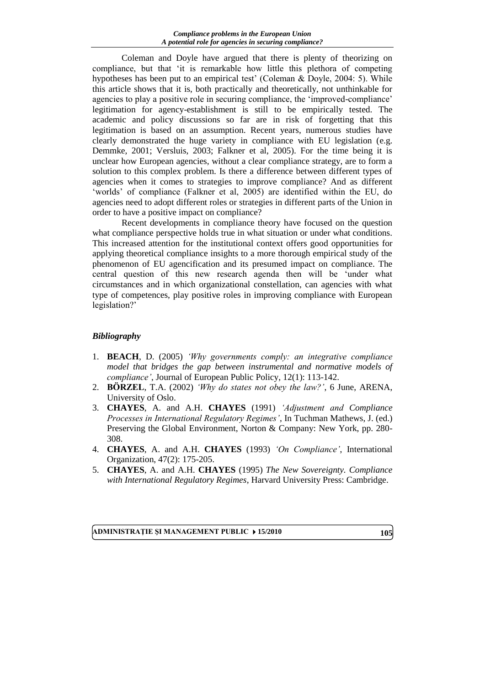Coleman and Doyle have argued that there is plenty of theorizing on compliance, but that 'it is remarkable how little this plethora of competing hypotheses has been put to an empirical test' (Coleman & Doyle, 2004: 5). While this article shows that it is, both practically and theoretically, not unthinkable for agencies to play a positive role in securing compliance, the 'improved-compliance' legitimation for agency-establishment is still to be empirically tested. The academic and policy discussions so far are in risk of forgetting that this legitimation is based on an assumption. Recent years, numerous studies have clearly demonstrated the huge variety in compliance with EU legislation (e.g. Demmke, 2001; Versluis, 2003; Falkner et al, 2005). For the time being it is unclear how European agencies, without a clear compliance strategy, are to form a solution to this complex problem. Is there a difference between different types of agencies when it comes to strategies to improve compliance? And as different 'worlds' of compliance (Falkner et al, 2005) are identified within the EU, do agencies need to adopt different roles or strategies in different parts of the Union in order to have a positive impact on compliance?

Recent developments in compliance theory have focused on the question what compliance perspective holds true in what situation or under what conditions. This increased attention for the institutional context offers good opportunities for applying theoretical compliance insights to a more thorough empirical study of the phenomenon of EU agencification and its presumed impact on compliance. The central question of this new research agenda then will be 'under what circumstances and in which organizational constellation, can agencies with what type of competences, play positive roles in improving compliance with European legislation?'

# *Bibliography*

- 1. **BEACH**, D. (2005) *'Why governments comply: an integrative compliance model that bridges the gap between instrumental and normative models of compliance'*, Journal of European Public Policy, 12(1): 113-142.
- 2. **BÖRZEL**, T.A. (2002) *'Why do states not obey the law?'*, 6 June, ARENA, University of Oslo.
- 3. **CHAYES**, A. and A.H. **CHAYES** (1991) *'Adjustment and Compliance Processes in International Regulatory Regimes'*, In Tuchman Mathews, J. (ed.) Preserving the Global Environment, Norton & Company: New York, pp. 280- 308.
- 4. **CHAYES**, A. and A.H. **CHAYES** (1993) *'On Compliance'*, International Organization, 47(2): 175-205.
- 5. **CHAYES**, A. and A.H. **CHAYES** (1995) *The New Sovereignty. Compliance with International Regulatory Regimes*, Harvard University Press: Cambridge.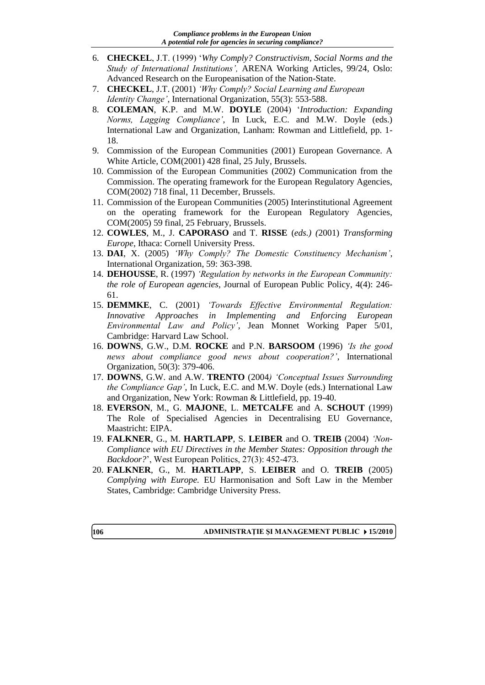- 6. **CHECKEL**, J.T. (1999) '*Why Comply? Constructivism, Social Norms and the Study of International Institutions',* ARENA Working Articles, 99/24, Oslo: Advanced Research on the Europeanisation of the Nation-State.
- 7. **CHECKEL**, J.T. (2001) *'Why Comply? Social Learning and European Identity Change'*, International Organization, 55(3): 553-588.
- 8. **COLEMAN**, K.P. and M.W. **DOYLE** (2004) '*Introduction: Expanding Norms, Lagging Compliance'*, In Luck, E.C. and M.W. Doyle (eds.) International Law and Organization, Lanham: Rowman and Littlefield, pp. 1- 18.
- 9. Commission of the European Communities (2001) European Governance. A White Article, COM(2001) 428 final, 25 July, Brussels.
- 10. Commission of the European Communities (2002) Communication from the Commission. The operating framework for the European Regulatory Agencies, COM(2002) 718 final, 11 December, Brussels.
- 11. Commission of the European Communities (2005) Interinstitutional Agreement on the operating framework for the European Regulatory Agencies, COM(2005) 59 final, 25 February, Brussels.
- 12. **COWLES**, M., J. **CAPORASO** and T. **RISSE** (*eds.) (*2001) *Transforming Europe*, Ithaca: Cornell University Press.
- 13. **DAI**, X. (2005) *'Why Comply? The Domestic Constituency Mechanism'*, International Organization, 59: 363-398.
- 14. **DEHOUSSE**, R. (1997) *'Regulation by networks in the European Community: the role of European agencies*, Journal of European Public Policy, 4(4): 246- 61.
- 15. **DEMMKE**, C. (2001) *'Towards Effective Environmental Regulation: Innovative Approaches in Implementing and Enforcing European Environmental Law and Policy'*, Jean Monnet Working Paper 5/01, Cambridge: Harvard Law School.
- 16. **DOWNS**, G.W., D.M. **ROCKE** and P.N. **BARSOOM** (1996) *'Is the good news about compliance good news about cooperation?'*, International Organization, 50(3): 379-406.
- 17. **DOWNS**, G.W. and A.W. **TRENTO** (2004*) 'Conceptual Issues Surrounding the Compliance Gap'*, In Luck, E.C. and M.W. Doyle (eds.) International Law and Organization, New York: Rowman & Littlefield, pp. 19-40.
- 18. **EVERSON**, M., G. **MAJONE**, L. **METCALFE** and A. **SCHOUT** (1999) The Role of Specialised Agencies in Decentralising EU Governance, Maastricht: EIPA.
- 19. **FALKNER**, G., M. **HARTLAPP**, S. **LEIBER** and O. **TREIB** (2004) *'Non-Compliance with EU Directives in the Member States: Opposition through the Backdoor?*', West European Politics, 27(3): 452-473.
- 20. **FALKNER**, G., M. **HARTLAPP**, S. **LEIBER** and O. **TREIB** (2005) *Complying with Europe.* EU Harmonisation and Soft Law in the Member States, Cambridge: Cambridge University Press.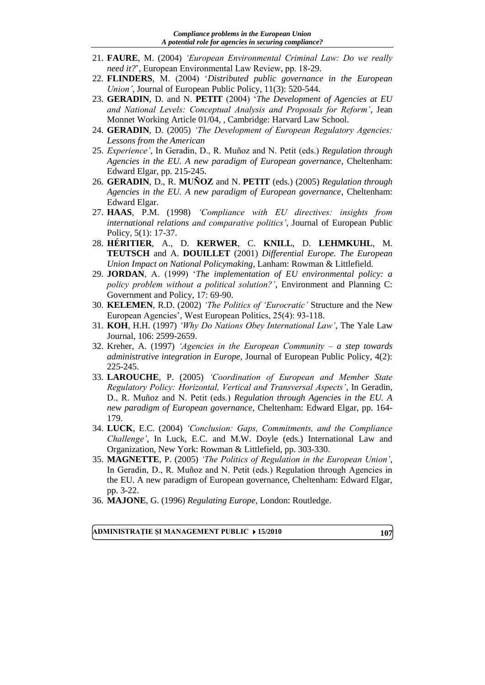- 21. **FAURE**, M. (2004) *'European Environmental Criminal Law: Do we really need it?*', European Environmental Law Review, pp. 18-29.
- 22. **FLINDERS**, M. (2004) '*Distributed public governance in the European Union'*, Journal of European Public Policy, 11(3): 520-544.
- 23. **GERADIN**, D. and N. **PETIT** (2004) '*The Development of Agencies at EU and National Levels: Conceptual Analysis and Proposals for Reform'*, Jean Monnet Working Article 01/04, , Cambridge: Harvard Law School.
- 24. **GERADIN**, D. (2005) *'The Development of European Regulatory Agencies: Lessons from the American*
- 25. *Experience'*, In Geradin, D., R. Muñoz and N. Petit (eds.) *Regulation through Agencies in the EU. A new paradigm of European governance*, Cheltenham: Edward Elgar, pp. 215-245.
- 26. **GERADIN**, D., R. **MUÑOZ** and N. **PETIT** (eds.) (2005) *Regulation through Agencies in the EU. A new paradigm of European governance*, Cheltenham: Edward Elgar.
- 27. **HAAS**, P.M. (1998) *'Compliance with EU directives: insights from international relations and comparative politics'*, Journal of European Public Policy, 5(1): 17-37.
- 28. **HÉRITIER**, A., D. **KERWER**, C. **KNILL**, D. **LEHMKUHL**, M. **TEUTSCH** and A. **DOUILLET** (2001) *Differential Europe. The European Union Impact on National Policymaking*, Lanham: Rowman & Littlefield.
- 29. **JORDAN**, A. (1999) '*The implementation of EU environmental policy: a policy problem without a political solution?'*, Environment and Planning C: Government and Policy, 17: 69-90.
- 30. **KELEMEN**, R.D. (2002) *'The Politics of 'Eurocratic'* Structure and the New European Agencies', West European Politics, 25(4): 93-118.
- 31. **KOH**, H.H. (1997) *'Why Do Nations Obey International Law'*, The Yale Law Journal, 106: 2599-2659.
- 32. Kreher, A. (1997) *'Agencies in the European Community – a step towards administrative integration in Europe,* Journal of European Public Policy, 4(2): 225-245.
- 33. **LAROUCHE**, P. (2005) *'Coordination of European and Member State Regulatory Policy: Horizontal, Vertical and Transversal Aspects'*, In Geradin, D., R. Muñoz and N. Petit (eds.) *Regulation through Agencies in the EU. A new paradigm of European governance*, Cheltenham: Edward Elgar, pp. 164- 179.
- 34. **LUCK**, E.C. (2004) *'Conclusion: Gaps, Commitments, and the Compliance Challenge'*, In Luck, E.C. and M.W. Doyle (eds.) International Law and Organization, New York: Rowman & Littlefield, pp. 303-330.
- 35. **MAGNETTE**, P. (2005) *'The Politics of Regulation in the European Union'*, In Geradin, D., R. Muñoz and N. Petit (eds.) Regulation through Agencies in the EU. A new paradigm of European governance, Cheltenham: Edward Elgar, pp. 3-22.
- 36. **MAJONE**, G. (1996) *Regulating Europe*, London: Routledge.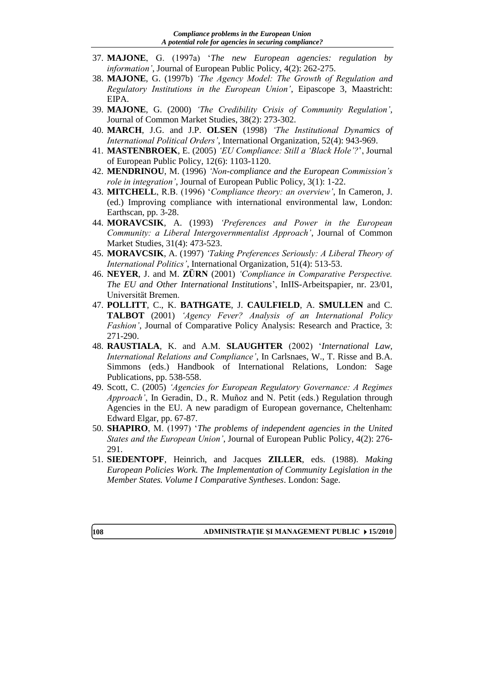- 37. **MAJONE**, G. (1997a) '*The new European agencies: regulation by information'*, Journal of European Public Policy, 4(2): 262-275.
- 38. **MAJONE**, G. (1997b) *'The Agency Model: The Growth of Regulation and Regulatory Institutions in the European Union'*, Eipascope 3, Maastricht: EIPA.
- 39. **MAJONE**, G. (2000) *'The Credibility Crisis of Community Regulation'*, Journal of Common Market Studies, 38(2): 273-302.
- 40. **MARCH**, J.G. and J.P. **OLSEN** (1*9*98) *'The Institutional Dynamics of International Political Orders'*, International Organization, 52(4): 943-969.
- 41. **MASTENBROEK**, E. (2005) *'EU Compliance: Still a 'Black Hole'?*', Journal of European Public Policy, 12(6): 1103-1120.
- 42. **MENDRINOU**, M. (1996) *'Non-compliance and the European Commission's role in integration'*, Journal of European Public Policy, 3(1): 1-22.
- 43. **MITCHELL**, R.B. (1996) '*Compliance theory: an overview'*, In Cameron, J. (ed.) Improving compliance with international environmental law, London: Earthscan, pp. 3-28.
- 44. **MORAVCSIK**, A. (1993) *'Preferences and Power in the European Community: a Liberal Intergovernmentalist Approach'*, Journal of Common Market Studies, 31(4): 473-523.
- 45. **MORAVCSIK**, A. (1997) *'Taking Preferences Seriously: A Liberal Theory of International Politics'*, International Organization, 51(4): 513-53.
- 46. **NEYER**, J. and M. **ZÜRN** (2001) *'Compliance in Comparative Perspective. The EU and Other International Institutions*', InIIS-Arbeitspapier, nr. 23/01, Universität Bremen.
- 47. **POLLITT**, C., K. **BATHGATE**, J. **CAULFIELD**, A. **SMULLEN** and C. **TALBOT** (2001) *'Agency Fever? Analysis of an International Policy Fashion'*, Journal of Comparative Policy Analysis: Research and Practice, 3: 271-290.
- 48. **RAUSTIALA**, K. and A.M. **SLAUGHTER** (2002) '*International Law, International Relations and Compliance'*, In Carlsnaes, W., T. Risse and B.A. Simmons (eds.) Handbook of International Relations, London: Sage Publications, pp. 538-558.
- 49. Scott, C. (2005) *'Agencies for European Regulatory Governance: A Regimes Approach'*, In Geradin, D., R. Muñoz and N. Petit (eds.) Regulation through Agencies in the EU. A new paradigm of European governance, Cheltenham: Edward Elgar, pp. 67-87.
- 50. **SHAPIRO**, M. (1997) '*The problems of independent agencies in the United States and the European Union'*, Journal of European Public Policy, 4(2): 276- 291.
- 51. **SIEDENTOPF**, Heinrich, and Jacques **ZILLER**, eds. (1988). *Making European Policies Work. The Implementation of Community Legislation in the Member States. Volume I Comparative Syntheses*. London: Sage.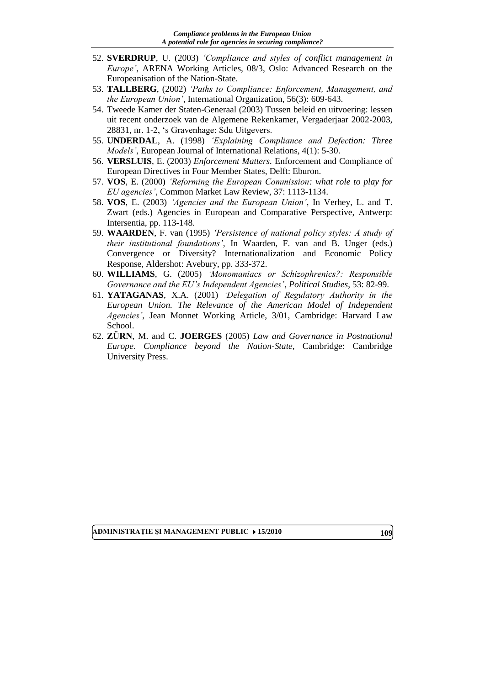- 52. **SVERDRUP**, U. (2003) *'Compliance and styles of conflict management in Europe'*, ARENA Working Articles, 08/3, Oslo: Advanced Research on the Europeanisation of the Nation-State.
- 53. **TALLBERG**, (2002) *'Paths to Compliance: Enforcement, Management, and the European Union'*, International Organization, 56(3): 609-643.
- 54. Tweede Kamer der Staten-Generaal (2003) Tussen beleid en uitvoering: lessen uit recent onderzoek van de Algemene Rekenkamer, Vergaderjaar 2002-2003, 28831, nr. 1-2, 's Gravenhage: Sdu Uitgevers.
- 55. **UNDERDAL**, A. (1998) *'Explaining Compliance and Defection: Three Models'*, European Journal of International Relations, 4(1): 5-30.
- 56. **VERSLUIS**, E. (2003) *Enforcement Matters.* Enforcement and Compliance of European Directives in Four Member States, Delft: Eburon.
- 57. **VOS**, E. (2000) *'Reforming the European Commission: what role to play for EU agencies'*, Common Market Law Review, 37: 1113-1134.
- 58. **VOS**, E. (2003) *'Agencies and the European Union'*, In Verhey, L. and T. Zwart (eds.) Agencies in European and Comparative Perspective, Antwerp: Intersentia, pp. 113-148.
- 59. **WAARDEN**, F. van (1995) *'Persistence of national policy styles: A study of their institutional foundations'*, In Waarden, F. van and B. Unger (eds.) Convergence or Diversity? Internationalization and Economic Policy Response, Aldershot: Avebury, pp. 333-372.
- 60. **WILLIAMS**, G. (2005) *'Monomaniacs or Schizophrenics?: Responsible Governance and the EU's Independent Agencies'*, *Political Studies*, 53: 82-99.
- 61. **YATAGANAS**, X.A. (2001) *'Delegation of Regulatory Authority in the European Union. The Relevance of the American Model of Independent Agencies'*, Jean Monnet Working Article, 3/01, Cambridge: Harvard Law School.
- 62. **ZÜRN**, M. and C. **JOERGES** (2005) *Law and Governance in Postnational Europe. Compliance beyond the Nation-State*, Cambridge: Cambridge University Press.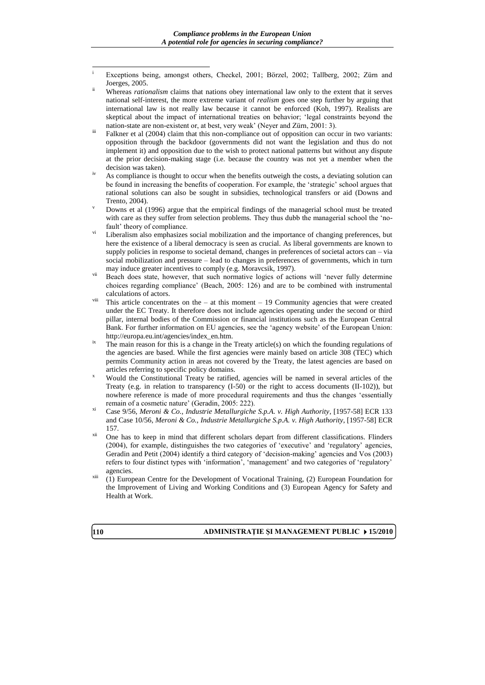- $\overline{a}$ Exceptions being, amongst others, Checkel, 2001; Börzel, 2002; Tallberg, 2002; Zürn and Joerges, 2005.
- Whereas *rationalism* claims that nations obey international law only to the extent that it serves national self-interest, the more extreme variant of *realism* goes one step further by arguing that international law is not really law because it cannot be enforced (Koh, 1997). Realists are skeptical about the impact of international treaties on behavior; 'legal constraints beyond the nation-state are non-existent or, at best, very weak' (Neyer and Zürn, 2001: 3).
- Falkner et al (2004) claim that this non-compliance out of opposition can occur in two variants: opposition through the backdoor (governments did not want the legislation and thus do not implement it) and opposition due to the wish to protect national patterns but without any dispute at the prior decision-making stage (i.e. because the country was not yet a member when the decision was taken).
- As compliance is thought to occur when the benefits outweigh the costs, a deviating solution can be found in increasing the benefits of cooperation. For example, the 'strategic' school argues that rational solutions can also be sought in subsidies, technological transfers or aid (Downs and Trento, 2004).
- Downs et al (1996) argue that the empirical findings of the managerial school must be treated with care as they suffer from selection problems. They thus dubb the managerial school the 'nofault' theory of compliance.
- Liberalism also emphasizes social mobilization and the importance of changing preferences, but here the existence of a liberal democracy is seen as crucial. As liberal governments are known to supply policies in response to societal demand, changes in preferences of societal actors can – via social mobilization and pressure – lead to changes in preferences of governments, which in turn may induce greater incentives to comply (e.g. Moravcsik, 1997).
- vii Beach does state, however, that such normative logics of actions will 'never fully determine choices regarding compliance' (Beach, 2005: 126) and are to be combined with instrumental calculations of actors.
- This article concentrates on the at this moment 19 Community agencies that were created under the EC Treaty. It therefore does not include agencies operating under the second or third pillar, internal bodies of the Commission or financial institutions such as the European Central Bank. For further information on EU agencies, see the 'agency website' of the European Union: [http://europa.eu.int/agencies/index\\_en.htm.](http://europa.eu.int/agencies/index_en.htm)
- The main reason for this is a change in the Treaty article(s) on which the founding regulations of the agencies are based. While the first agencies were mainly based on article 308 (TEC) which permits Community action in areas not covered by the Treaty, the latest agencies are based on articles referring to specific policy domains.
- <sup>x</sup> Would the Constitutional Treaty be ratified, agencies will be named in several articles of the Treaty (e.g. in relation to transparency (I-50) or the right to access documents (II-102)), but nowhere reference is made of more procedural requirements and thus the changes 'essentially remain of a cosmetic nature' (Geradin, 2005: 222).
- xi Case 9/56, *Meroni & Co., Industrie Metallurgiche S.p.A. v. High Authority*, [1957-58] ECR 133 and Case 10/56, *Meroni & Co., Industrie Metallurgiche S.p.A. v. High Authority*, [1957-58] ECR 157.
- <sup>xii</sup> One has to keep in mind that different scholars depart from different classifications. Flinders (2004), for example, distinguishes the two categories of 'executive' and 'regulatory' agencies, Geradin and Petit (2004) identify a third category of 'decision-making' agencies and Vos (2003) refers to four distinct types with 'information', 'management' and two categories of 'regulatory' agencies.
- $\overline{x}$ <sup>xiii</sup> (1) European Centre for the Development of Vocational Training, (2) European Foundation for the Improvement of Living and Working Conditions and (3) European Agency for Safety and Health at Work.